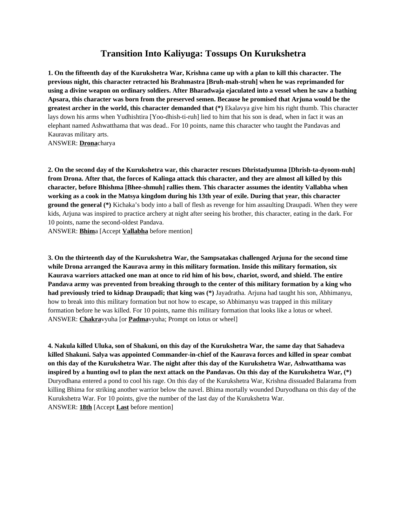## **Transition Into Kaliyuga: Tossups On Kurukshetra**

**1. On the fifteenth day of the Kurukshetra War, Krishna came up with a plan to kill this character. The previous night, this character retracted his Brahmastra [Bruh-mah-struh] when he was reprimanded for using a divine weapon on ordinary soldiers. After Bharadwaja ejaculated into a vessel when he saw a bathing Apsara, this character was born from the preserved semen. Because he promised that Arjuna would be the greatest archer in the world, this character demanded that (\*)** Ekalavya give him his right thumb. This character lays down his arms when Yudhishtira [Yoo-dhish-ti-ruh] lied to him that his son is dead, when in fact it was an elephant named Ashwatthama that was dead.. For 10 points, name this character who taught the Pandavas and Kauravas military arts.

ANSWER: **Drona**charya

**2. On the second day of the Kurukshetra war, this character rescues Dhristadyumna [Dhrish-ta-dyoom-nuh] from Drona. After that, the forces of Kalinga attack this character, and they are almost all killed by this character, before Bhishma [Bhee-shmuh] rallies them. This character assumes the identity Vallabha when working as a cook in the Matsya kingdom during his 13th year of exile. During that year, this character ground the general (\*)** Kichaka's body into a ball of flesh as revenge for him assaulting Draupadi. When they were kids, Arjuna was inspired to practice archery at night after seeing his brother, this character, eating in the dark. For 10 points, name the second-oldest Pandava.

ANSWER: **Bhim**a [Accept **Vallabha** before mention]

**3. On the thirteenth day of the Kurukshetra War, the Sampsatakas challenged Arjuna for the second time while Drona arranged the Kaurava army in this military formation. Inside this military formation, six Kaurava warriors attacked one man at once to rid him of his bow, chariot, sword, and shield. The entire Pandava army was prevented from breaking through to the center of this military formation by a king who had previously tried to kidnap Draupadi; that king was (\*)** Jayadratha. Arjuna had taught his son, Abhimanyu, how to break into this military formation but not how to escape, so Abhimanyu was trapped in this military formation before he was killed. For 10 points, name this military formation that looks like a lotus or wheel. ANSWER: **Chakra**vyuha [or **Padma**vyuha; Prompt on lotus or wheel]

**4. Nakula killed Uluka, son of Shakuni, on this day of the Kurukshetra War, the same day that Sahadeva killed Shakuni. Salya was appointed Commander-in-chief of the Kaurava forces and killed in spear combat on this day of the Kurukshetra War. The night after this day of the Kurukshetra War, Ashwatthama was inspired by a hunting owl to plan the next attack on the Pandavas. On this day of the Kurukshetra War, (\*)**  Duryodhana entered a pond to cool his rage. On this day of the Kurukshetra War, Krishna dissuaded Balarama from killing Bhima for striking another warrior below the navel. Bhima mortally wounded Duryodhana on this day of the Kurukshetra War. For 10 points, give the number of the last day of the Kurukshetra War. ANSWER: **18th** [Accept **Last** before mention]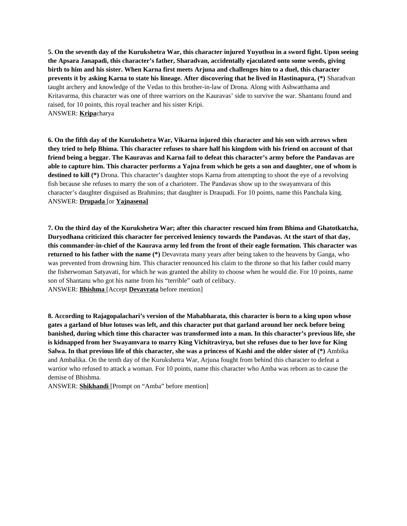**5. On the seventh day of the Kurukshetra War, this character injured Yuyuthsu in a sword fight. Upon seeing the Apsara Janapadi, this character's father, Sharadvan, accidentally ejaculated onto some weeds, giving birth to him and his sister. When Karna first meets Arjuna and challenges him to a duel, this character prevents it by asking Karna to state his lineage. After discovering that he lived in Hastinapura, (\*)** Sharadvan taught archery and knowledge of the Vedas to this brother-in-law of Drona. Along with Ashwatthama and Kritavarma, this character was one of three warriors on the Kauravas' side to survive the war. Shantanu found and raised, for 10 points, this royal teacher and his sister Kripi. ANSWER: **Kripa**charya

**6. On the fifth day of the Kurukshetra War, Vikarna injured this character and his son with arrows when they tried to help Bhima. This character refuses to share half his kingdom with his friend on account of that friend being a beggar. The Kauravas and Karna fail to defeat this character's army before the Pandavas are able to capture him. This character performs a Yajna from which he gets a son and daughter, one of whom is destined to kill (\*)** Drona. This character's daughter stops Karna from attempting to shoot the eye of a revolving fish because she refuses to marry the son of a charioteer. The Pandavas show up to the swayamvara of this character's daughter disguised as Brahmins; that daughter is Draupadi. For 10 points, name this Panchala king. ANSWER: **Drupada** [or **Yajnasena]**

**7. On the third day of the Kurukshetra War; after this character rescued him from Bhima and Ghatotkatcha, Duryodhana criticized this character for perceived leniency towards the Pandavas. At the start of that day, this commander-in-chief of the Kaurava army led from the front of their eagle formation. This character was returned to his father with the name (\*)** Devavrata many years after being taken to the heavens by Ganga, who was prevented from drowning him. This character renounced his claim to the throne so that his father could marry the fisherwoman Satyavati, for which he was granted the ability to choose when he would die. For 10 points, name son of Shantanu who got his name from his "terrible" oath of celibacy. ANSWER: **Bhishma** [Accept **Devavrata** before mention]

**8. According to Rajagopalachari's version of the Mahabharata, this character is born to a king upon whose gates a garland of blue lotuses was left, and this character put that garland around her neck before being banished, during which time this character was transformed into a man. In this character's previous life, she is kidnapped from her Swayamvara to marry King Vichitravirya, but she refuses due to her love for King Salwa. In that previous life of this character, she was a princess of Kashi and the older sister of (\*)** Ambika and Ambalika. On the tenth day of the Kurukshetra War, Arjuna fought from behind this character to defeat a warrior who refused to attack a woman. For 10 points, name this character who Amba was reborn as to cause the demise of Bhishma.

ANSWER: **Shikhandi** [Prompt on "Amba" before mention]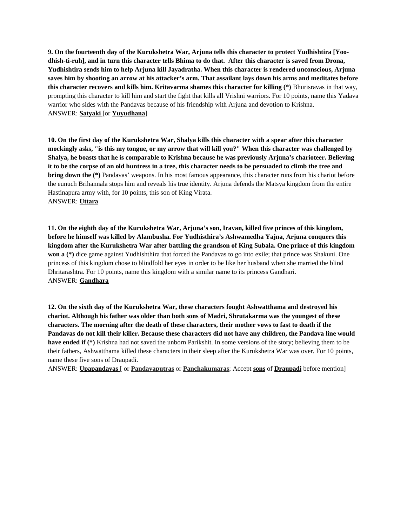**9. On the fourteenth day of the Kurukshetra War, Arjuna tells this character to protect Yudhishtira [Yoodhish-ti-ruh], and in turn this character tells Bhima to do that. After this character is saved from Drona, Yudhishtira sends him to help Arjuna kill Jayadratha. When this character is rendered unconscious, Arjuna saves him by shooting an arrow at his attacker's arm. That assailant lays down his arms and meditates before this character recovers and kills him. Kritavarma shames this character for killing (\*)** Bhurisravas in that way, prompting this character to kill him and start the fight that kills all Vrishni warriors. For 10 points, name this Yadava warrior who sides with the Pandavas because of his friendship with Arjuna and devotion to Krishna. ANSWER: **Satyaki** [or **Yuyudhana**]

**10. On the first day of the Kurukshetra War, Shalya kills this character with a spear after this character mockingly asks, "is this my tongue, or my arrow that will kill you?" When this character was challenged by Shalya, he boasts that he is comparable to Krishna because he was previously Arjuna's charioteer. Believing it to be the corpse of an old huntress in a tree, this character needs to be persuaded to climb the tree and bring down the (\*)** Pandavas' weapons. In his most famous appearance, this character runs from his chariot before the eunuch Brihannala stops him and reveals his true identity. Arjuna defends the Matsya kingdom from the entire Hastinapura army with, for 10 points, this son of King Virata. ANSWER: **Uttara**

**11. On the eighth day of the Kurukshetra War, Arjuna's son, Iravan, killed five princes of this kingdom, before he himself was killed by Alambusha. For Yudhisthira's Ashwamedha Yajna, Arjuna conquers this kingdom after the Kurukshetra War after battling the grandson of King Subala. One prince of this kingdom won a (\*)** dice game against Yudhishthira that forced the Pandavas to go into exile; that prince was Shakuni. One princess of this kingdom chose to blindfold her eyes in order to be like her husband when she married the blind Dhritarashtra. For 10 points, name this kingdom with a similar name to its princess Gandhari. ANSWER: **Gandhara**

**12. On the sixth day of the Kurukshetra War, these characters fought Ashwatthama and destroyed his chariot. Although his father was older than both sons of Madri, Shrutakarma was the youngest of these characters. The morning after the death of these characters, their mother vows to fast to death if the Pandavas do not kill their killer. Because these characters did not have any children, the Pandava line would have ended if (\*)** Krishna had not saved the unborn Parikshit. In some versions of the story; believing them to be their fathers, Ashwatthama killed these characters in their sleep after the Kurukshetra War was over. For 10 points, name these five sons of Draupadi.

ANSWER: **Upapandavas** [ or **Pandavaputras** or **Panchakumaras**; Accept **sons** of **Draupadi** before mention]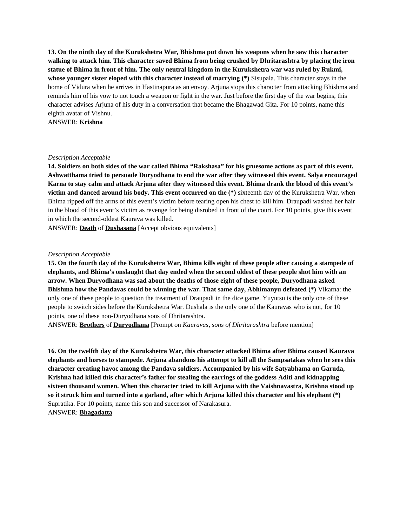**13. On the ninth day of the Kurukshetra War, Bhishma put down his weapons when he saw this character walking to attack him. This character saved Bhima from being crushed by Dhritarashtra by placing the iron statue of Bhima in front of him. The only neutral kingdom in the Kurukshetra war was ruled by Rukmi, whose younger sister eloped with this character instead of marrying (\*)** Sisupala. This character stays in the home of Vidura when he arrives in Hastinapura as an envoy. Arjuna stops this character from attacking Bhishma and reminds him of his vow to not touch a weapon or fight in the war. Just before the first day of the war begins, this character advises Arjuna of his duty in a conversation that became the Bhagawad Gita. For 10 points, name this eighth avatar of Vishnu.

ANSWER: **Krishna**

## *Description Acceptable*

**14. Soldiers on both sides of the war called Bhima "Rakshasa" for his gruesome actions as part of this event. Ashwatthama tried to persuade Duryodhana to end the war after they witnessed this event. Salya encouraged Karna to stay calm and attack Arjuna after they witnessed this event. Bhima drank the blood of this event's victim and danced around his body. This event occurred on the (\*)** sixteenth day of the Kurukshetra War, when Bhima ripped off the arms of this event's victim before tearing open his chest to kill him. Draupadi washed her hair in the blood of this event's victim as revenge for being disrobed in front of the court. For 10 points, give this event in which the second-oldest Kaurava was killed.

ANSWER: **Death** of **Dushasana** [Accept obvious equivalents]

## *Description Acceptable*

**15. On the fourth day of the Kurukshetra War, Bhima kills eight of these people after causing a stampede of elephants, and Bhima's onslaught that day ended when the second oldest of these people shot him with an arrow. When Duryodhana was sad about the deaths of those eight of these people, Duryodhana asked Bhishma how the Pandavas could be winning the war. That same day, Abhimanyu defeated (\*)** Vikarna: the only one of these people to question the treatment of Draupadi in the dice game. Yuyutsu is the only one of these people to switch sides before the Kurukshetra War. Dushala is the only one of the Kauravas who is not, for 10 points, one of these non-Duryodhana sons of Dhritarashtra.

ANSWER: **Brothers** of **Duryodhana** [Prompt on *Kauravas*, *sons of Dhritarashtra* before mention]

**16. On the twelfth day of the Kurukshetra War, this character attacked Bhima after Bhima caused Kaurava elephants and horses to stampede. Arjuna abandons his attempt to kill all the Sampsatakas when he sees this character creating havoc among the Pandava soldiers. Accompanied by his wife Satyabhama on Garuda, Krishna had killed this character's father for stealing the earrings of the goddess Aditi and kidnapping sixteen thousand women. When this character tried to kill Arjuna with the Vaishnavastra, Krishna stood up so it struck him and turned into a garland, after which Arjuna killed this character and his elephant (\*)**  Supratika. For 10 points, name this son and successor of Narakasura. ANSWER: **Bhagadatta**